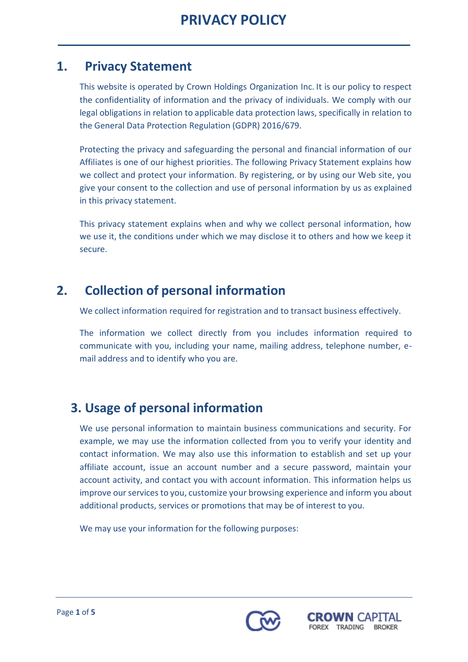### **1. Privacy Statement**

This website is operated by Crown Holdings Organization Inc. It is our policy to respect the confidentiality of information and the privacy of individuals. We comply with our legal obligations in relation to applicable data protection laws, specifically in relation to the General Data Protection Regulation (GDPR) 2016/679.

Protecting the privacy and safeguarding the personal and financial information of our Affiliates is one of our highest priorities. The following Privacy Statement explains how we collect and protect your information. By registering, or by using our Web site, you give your consent to the collection and use of personal information by us as explained in this privacy statement.

This privacy statement explains when and why we collect personal information, how we use it, the conditions under which we may disclose it to others and how we keep it secure.

# **2. Collection of personal information**

We collect information required for registration and to transact business effectively.

The information we collect directly from you includes information required to communicate with you, including your name, mailing address, telephone number, email address and to identify who you are.

## **3. Usage of personal information**

We use personal information to maintain business communications and security. For example, we may use the information collected from you to verify your identity and contact information. We may also use this information to establish and set up your affiliate account, issue an account number and a secure password, maintain your account activity, and contact you with account information. This information helps us improve our services to you, customize your browsing experience and inform you about additional products, services or promotions that may be of interest to you.

We may use your information for the following purposes:



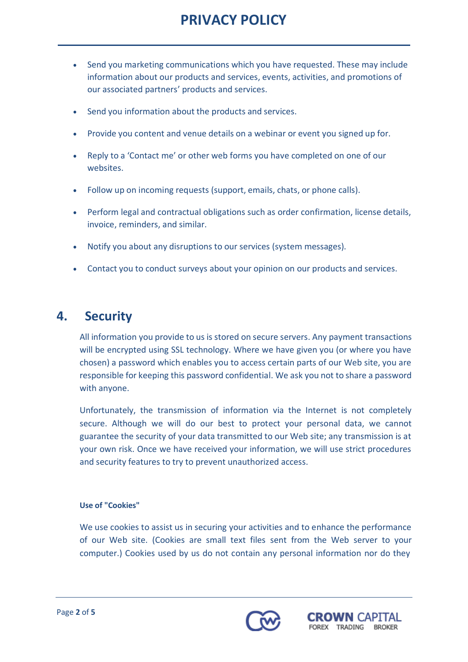# **PRIVACY POLICY**

- Send you marketing communications which you have requested. These may include information about our products and services, events, activities, and promotions of our associated partners' products and services.
- Send you information about the products and services.
- Provide you content and venue details on a webinar or event you signed up for.
- Reply to a 'Contact me' or other web forms you have completed on one of our websites.
- Follow up on incoming requests (support, emails, chats, or phone calls).
- Perform legal and contractual obligations such as order confirmation, license details, invoice, reminders, and similar.
- Notify you about any disruptions to our services (system messages).
- Contact you to conduct surveys about your opinion on our products and services.

## **4. Security**

All information you provide to us is stored on secure servers. Any payment transactions will be encrypted using SSL technology. Where we have given you (or where you have chosen) a password which enables you to access certain parts of our Web site, you are responsible for keeping this password confidential. We ask you not to share a password with anyone.

Unfortunately, the transmission of information via the Internet is not completely secure. Although we will do our best to protect your personal data, we cannot guarantee the security of your data transmitted to our Web site; any transmission is at your own risk. Once we have received your information, we will use strict procedures and security features to try to prevent unauthorized access.

### **Use of "Cookies"**

We use cookies to assist us in securing your activities and to enhance the performance of our Web site. (Cookies are small text files sent from the Web server to your computer.) Cookies used by us do not contain any personal information nor do they



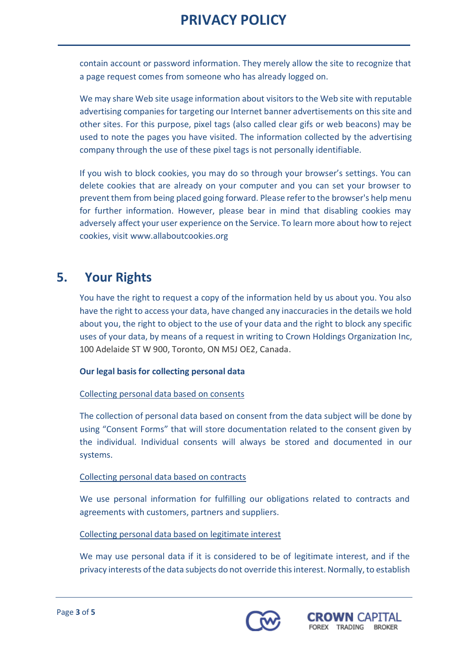# **PRIVACY POLICY**

contain account or password information. They merely allow the site to recognize that a page request comes from someone who has already logged on.

We may share Web site usage information about visitors to the Web site with reputable advertising companies for targeting our Internet banner advertisements on this site and other sites. For this purpose, pixel tags (also called clear gifs or web beacons) may be used to note the pages you have visited. The information collected by the advertising company through the use of these pixel tags is not personally identifiable.

If you wish to block cookies, you may do so through your browser's settings. You can delete cookies that are already on your computer and you can set your browser to prevent them from being placed going forward. Please referto the browser's help menu for further information. However, please bear in mind that disabling cookies may adversely affect your user experience on the Service. To learn more about how to reject cookies, visit [www.allaboutcookies.org](http://www.allaboutcookies.org/)

## **5. Your Rights**

You have the right to request a copy of the information held by us about you. You also have the right to access your data, have changed any inaccuracies in the details we hold about you, the right to object to the use of your data and the right to block any specific uses of your data, by means of a request in writing to Crown Holdings Organization Inc, 100 Adelaide ST W 900, Toronto, ON M5J OE2, Canada.

### **Our legal basis for collecting personal data**

### Collecting personal data based on consents

The collection of personal data based on consent from the data subject will be done by using "Consent Forms" that will store documentation related to the consent given by the individual. Individual consents will always be stored and documented in our systems.

### Collecting personal data based on contracts

We use personal information for fulfilling our obligations related to contracts and agreements with customers, partners and suppliers.

### Collecting personal data based on legitimate interest

We may use personal data if it is considered to be of legitimate interest, and if the privacy interests ofthe data subjects do not override thisinterest. Normally,to establish



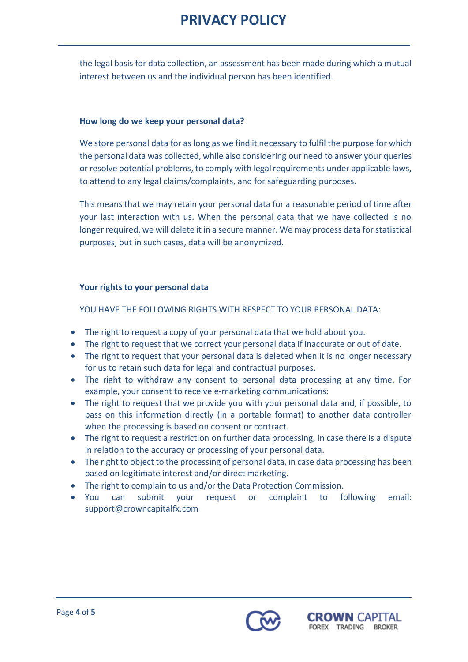# **PRIVACY POLICY**

the legal basis for data collection, an assessment has been made during which a mutual interest between us and the individual person has been identified.

#### **How long do we keep your personal data?**

We store personal data for as long as we find it necessary to fulfil the purpose for which the personal data was collected, while also considering our need to answer your queries or resolve potential problems, to comply with legalrequirements under applicable laws, to attend to any legal claims/complaints, and for safeguarding purposes.

This means that we may retain your personal data for a reasonable period of time after your last interaction with us. When the personal data that we have collected is no longer required, we will delete it in a secure manner. We may process data for statistical purposes, but in such cases, data will be anonymized.

#### **Your rights to your personal data**

YOU HAVE THE FOLLOWING RIGHTS WITH RESPECT TO YOUR PERSONAL DATA:

- The right to request a copy of your personal data that we hold about you.
- The right to request that we correct your personal data if inaccurate or out of date.
- The right to request that your personal data is deleted when it is no longer necessary for us to retain such data for legal and contractual purposes.
- The right to withdraw any consent to personal data processing at any time. For example, your consent to receive e-marketing communications:
- The right to request that we provide you with your personal data and, if possible, to pass on this information directly (in a portable format) to another data controller when the processing is based on consent or contract.
- The right to request a restriction on further data processing, in case there is a dispute in relation to the accuracy or processing of your personal data.
- The right to object to the processing of personal data, in case data processing has been based on legitimate interest and/or direct marketing.
- The right to complain to us and/or the Data Protection Commission.
- You can submit your request or complaint to following email: support@crowncapitalfx.com